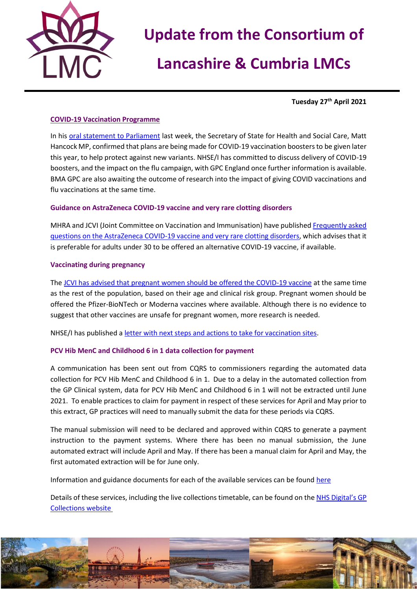

# **Update from the Consortium of**

# **Lancashire & Cumbria LMCs**

**Tuesday 27 th April 2021**

## **COVID-19 Vaccination Programme**

In his [oral statement to Parliament](https://www.gov.uk/government/speeches/statement-on-vaccination-progress-and-new-variants) last week, the Secretary of State for Health and Social Care, Matt Hancock MP, confirmed that plans are being made for COVID-19 vaccination boosters to be given later this year, to help protect against new variants. NHSE/I has committed to discuss delivery of COVID-19 boosters, and the impact on the flu campaign, with GPC England once further information is available. BMA GPC are also awaiting the outcome of research into the impact of giving COVID vaccinations and flu vaccinations at the same time.

### **Guidance on AstraZeneca COVID-19 vaccine and very rare clotting disorders**

MHRA and JCVI (Joint Committee on Vaccination and Immunisation) have published [Frequently asked](https://www.england.nhs.uk/coronavirus/publication/frequently-asked-questions-mhra-and-jcvi-guidance-on-astrazeneca-covid-19-vaccine-and-very-rare-clotting-disorders/)  [questions on the AstraZeneca COVID-19 vaccine and very rare clotting disorders,](https://www.england.nhs.uk/coronavirus/publication/frequently-asked-questions-mhra-and-jcvi-guidance-on-astrazeneca-covid-19-vaccine-and-very-rare-clotting-disorders/) which advises that it is preferable for adults under 30 to be offered an alternative COVID-19 vaccine, if available.

### **Vaccinating during pregnancy**

The [JCVI has advised that pregnant women should be offered the COVID-19 vaccine](https://www.gov.uk/government/news/jcvi-issues-new-advice-on-covid-19-vaccination-for-pregnant-women) at the same time as the rest of the population, based on their age and clinical risk group. Pregnant women should be offered the Pfizer-BioNTech or Moderna vaccines where available. Although there is no evidence to suggest that other vaccines are unsafe for pregnant women, more research is needed.

NHSE/I has published [a letter with next steps and actions to take for vaccination sites.](https://www.england.nhs.uk/coronavirus/publication/jcvi-announcement-regarding-covid-19-vaccination-during-pregnancy-and-next-steps/)

## **PCV Hib MenC and Childhood 6 in 1 data collection for payment**

A communication has been sent out from CQRS to commissioners regarding the automated data collection for PCV Hib MenC and Childhood 6 in 1. Due to a delay in the automated collection from the GP Clinical system, data for PCV Hib MenC and Childhood 6 in 1 will not be extracted until June 2021. To enable practices to claim for payment in respect of these services for April and May prior to this extract, GP practices will need to manually submit the data for these periods via CQRS.

The manual submission will need to be declared and approved within CQRS to generate a payment instruction to the payment systems. Where there has been no manual submission, the June automated extract will include April and May. If there has been a manual claim for April and May, the first automated extraction will be for June only.

Information and guidance documents for each of the available services can be found [here](https://welcome.cqrs.nhs.uk/serviceinfo.html)

Details of these services, including the live collections timetable, can be found on the [NHS Digital's GP](https://digital.nhs.uk/GP-collections)  [Collections website](https://digital.nhs.uk/GP-collections)

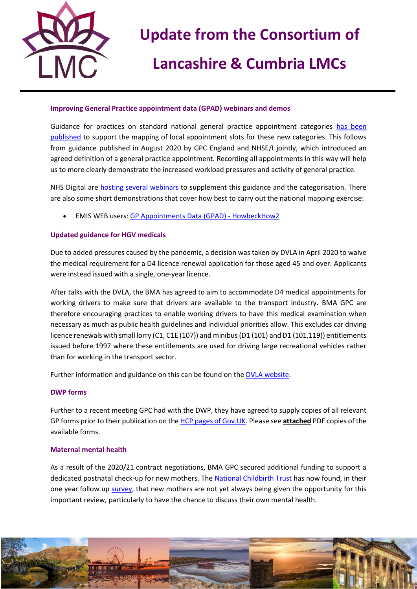

# **Update from the Consortium of**

# **Lancashire & Cumbria LMCs**

### **Improving General Practice appointment data (GPAD) webinars and demos**

Guidance for practices on standard national general practice appointment categories [has been](https://www.england.nhs.uk/publication/gpad-appointment-categorisation-guidance-2021-22/)  [published](https://www.england.nhs.uk/publication/gpad-appointment-categorisation-guidance-2021-22/) to support the mapping of local appointment slots for these new categories. This follows from guidance published in August 2020 by GPC England and NHSE/I jointly, which introduced an agreed definition of a general practice appointment. Recording all appointments in this way will help us to more clearly demonstrate the increased workload pressures and activity of general practice.

NHS Digital are [hosting several webinars](https://crm.digital.nhs.uk/clickdimensions/?clickpage=6qqd1i5weeuoewaisabha) to supplement this guidance and the categorisation. There are also some short demonstrations that cover how best to carry out the national mapping exercise:

• EMIS WEB users: [GP Appointments Data \(GPAD\) -](https://www.howbeckhow2.co.uk/courses/gp-appointments-data-gpad/) HowbeckHow2

## **Updated guidance for HGV medicals**

Due to added pressures caused by the pandemic, a decision was taken by DVLA in April 2020 to waive the medical requirement for a D4 licence renewal application for those aged 45 and over. Applicants were instead issued with a single, one-year licence.

After talks with the DVLA, the BMA has agreed to aim to accommodate D4 medical appointments for working drivers to make sure that drivers are available to the transport industry. BMA GPC are therefore encouraging practices to enable working drivers to have this medical examination when necessary as much as public health guidelines and individual priorities allow. This excludes car driving licence renewals with small lorry (C1, C1E (107)) and minibus (D1 (101) and D1 (101,119)) entitlements issued before 1997 where these entitlements are used for driving large recreational vehicles rather than for working in the transport sector.

Further information and guidance on this can be found on the **DVLA website**.

### **DWP forms**

Further to a recent meeting GPC had with the DWP, they have agreed to supply copies of all relevant GP forms prior to their publication on th[e HCP pages of Gov.UK.](https://www.gov.uk/government/publications/dwp-factual-medical-reports-guidance-for-healthcare-professionals/dwp-forms) Please see **attached** PDF copies of the available forms.

### **Maternal mental health**

As a result of the 2020/21 contract negotiations, BMA GPC secured additional funding to support a dedicated postnatal check-up for new mothers. The [National Childbirth Trust](https://www.nct.org.uk/) has now found, in their one year follow up [survey,](https://www.nct.org.uk/about-us/media/news/nct-finds-quarter-new-mothers-are-not-asked-about-their-mental-health) that new mothers are not yet always being given the opportunity for this important review, particularly to have the chance to discuss their own mental health.